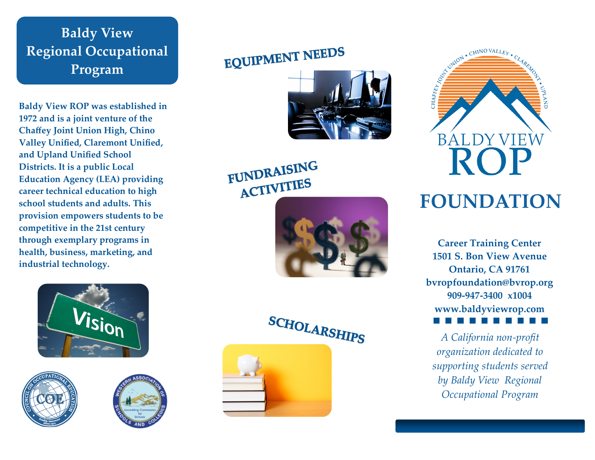**Baldy View Regional Occupational Program**

**Baldy View ROP was established in 1972 and is a joint venture of the Chaffey Joint Union High, Chino Valley Unified, Claremont Unified, and Upland Unified School Districts. It is a public Local Education Agency (LEA) providing career technical education to high school students and adults. This provision empowers students to be competitive in the 21st century through exemplary programs in health, business, marketing, and industrial technology.**







# **EQUIPMENT NEEDS**



FUNDRAISING ACTIVITIES









## **FOUNDATION**

**Career Training Center 1501 S. Bon View Avenue Ontario, CA 91761 bvropfoundation@bvrop.org 909 -947 -3400 x1004 www.baldyviewrop.com**

*A California non -profit organization dedicated to supporting students served by Baldy View Regional Occupational Program*